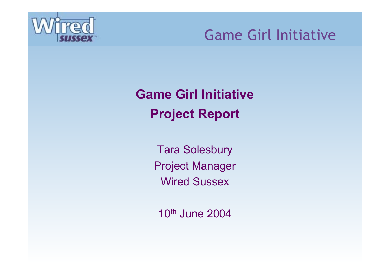

# **Game Girl InitiativeProject Report**

Tara Solesbury Project Manager Wired Sussex

10th June 2004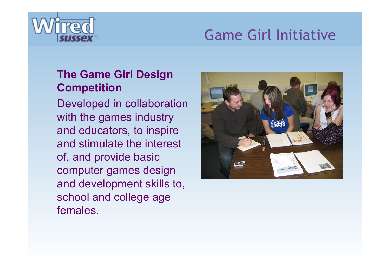

### **The Game Girl Design Competition**

Developed in collaboration with the games industry and educators, to inspire and stimulate the interest of, and provide basic computer games design and development skills to, school and college age females.

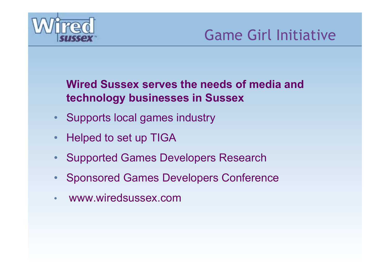

### **Wired Sussex serves the needs of media and technology businesses in Sussex**

- •Supports local games industry
- •Helped to set up TIGA
- •Supported Games Developers Research
- •Sponsored Games Developers Conference
- •www.wiredsussex.com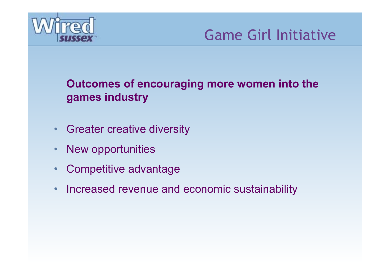

**Outcomes of encouraging more women into the games industry**

- •Greater creative diversity
- •New opportunities
- •Competitive advantage
- •Increased revenue and economic sustainability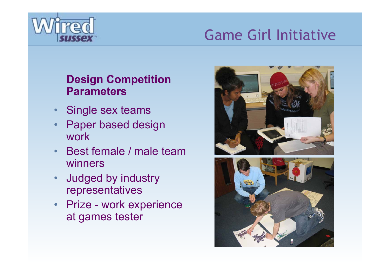

### **Design Competition Parameters**

- •Single sex teams
- • Paper based design work
- • Best female / male team winners
- • Judged by industry representatives
- •• Prize - work experience at games tester



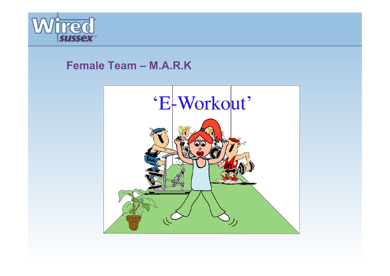

#### **Female Team – M.A.R.K**

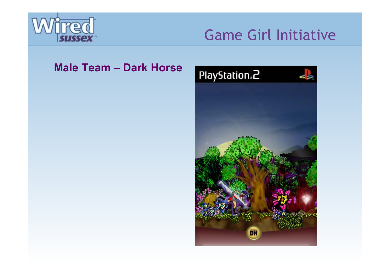

#### **Male Team – Dark Horse**

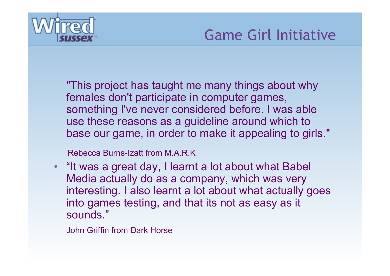

"This project has taught me many things about why females don't participate in computer games, something I've never considered before. I was able use these reasons as a guideline around which to base our game, in order to make it appealing to girls."

Rebecca Burns-Izatt from M.A.R.K

 $\bullet$  "It was a great day, I learnt a lot about what Babel Media actually do as a company, which was very interesting. I also learnt a lot about what actually goes into games testing, and that its not as easy as it sounds."

John Griffin from Dark Horse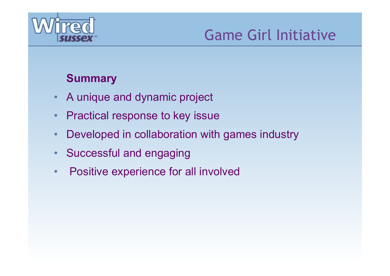

### **Summary**

- •A unique and dynamic project
- •Practical response to key issue
- •Developed in collaboration with games industry
- •Successful and engaging
- •Positive experience for all involved